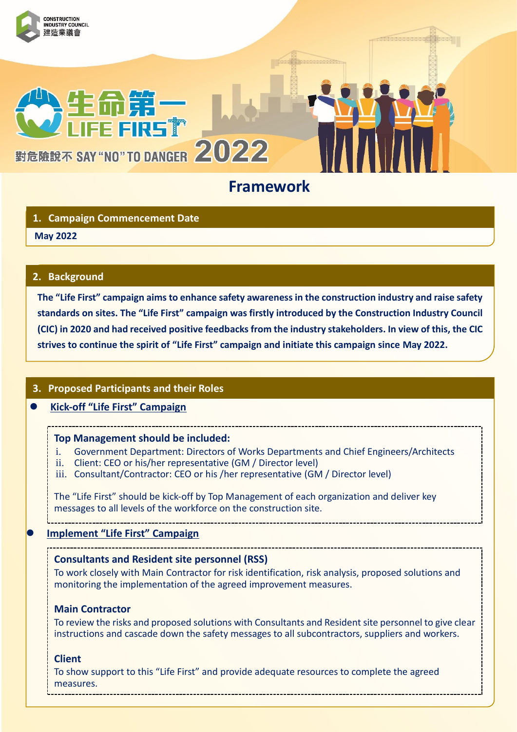

# **1. Campaign Commencement Date**

# **May 2022 1.**

### **2. Background**

**The "Life First" campaign aims to enhance safety awareness in the construction industry and raise safety standards on sites. The "Life First" campaign was firstly introduced by the Construction Industry Council (CIC) in 2020 and had received positive feedbacks from the industry stakeholders. In view of this, the CIC strives to continue the spirit of "Life First" campaign and initiate this campaign since May 2022.**

## **3. Proposed Participants and their Roles**

# **Kick-off "Life First" Campaign**

#### **Top Management should be included:**

- i. Government Department: Directors of Works Departments and Chief Engineers/Architects
- ii. Client: CEO or his/her representative (GM / Director level)
- iii. Consultant/Contractor: CEO or his /her representative (GM / Director level)

The "Life First" should be kick-off by Top Management of each organization and deliver key messages to all levels of the workforce on the construction site.

#### **Implement "Life First" Campaign**

#### **Consultants and Resident site personnel (RSS)**

To work closely with Main Contractor for risk identification, risk analysis, proposed solutions and monitoring the implementation of the agreed improvement measures.

#### **Main Contractor**

To review the risks and proposed solutions with Consultants and Resident site personnel to give clear instructions and cascade down the safety messages to all subcontractors, suppliers and workers.

#### **Client**

To show support to this "Life First" and provide adequate resources to complete the agreed measures.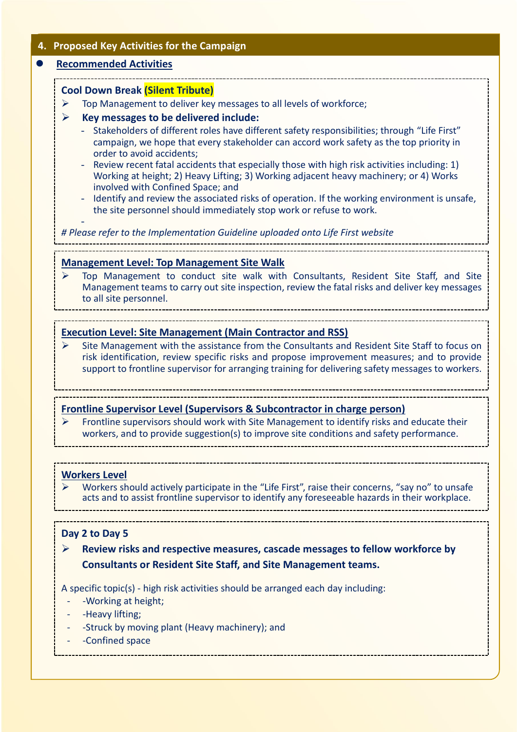### **4. Proposed Key Activities for the Campaign**

#### **Recommended Activities**

-

# **Cool Down Break (Silent Tribute)**

 $\triangleright$  Top Management to deliver key messages to all levels of workforce;

- **Key messages to be delivered include:** 
	- Stakeholders of different roles have different safety responsibilities; through "Life First" campaign, we hope that every stakeholder can accord work safety as the top priority in order to avoid accidents;
	- Review recent fatal accidents that especially those with high risk activities including: 1) Working at height; 2) Heavy Lifting; 3) Working adjacent heavy machinery; or 4) Works involved with Confined Space; and
	- Identify and review the associated risks of operation. If the working environment is unsafe, the site personnel should immediately stop work or refuse to work.

*# Please refer to the Implementation Guideline uploaded onto Life First website*

-

#### **Management Level: Top Management Site Walk**

 Top Management to conduct site walk with Consultants, Resident Site Staff, and Site Management teams to carry out site inspection, review the fatal risks and deliver key messages to all site personnel.

#### **Execution Level: Site Management (Main Contractor and RSS)**

 $\triangleright$  Site Management with the assistance from the Consultants and Resident Site Staff to focus on risk identification, review specific risks and propose improvement measures; and to provide support to frontline supervisor for arranging training for delivering safety messages to workers.

#### **Frontline Supervisor Level (Supervisors & Subcontractor in charge person)**

 Frontline supervisors should work with Site Management to identify risks and educate their workers, and to provide suggestion(s) to improve site conditions and safety performance.

#### **Workers Level**

 Workers should actively participate in the "Life First", raise their concerns, "say no" to unsafe acts and to assist frontline supervisor to identify any foreseeable hazards in their workplace.

#### **Day 2 to Day 5**

 **Review risks and respective measures, cascade messages to fellow workforce by Consultants or Resident Site Staff, and Site Management teams.** 

A specific topic(s) - high risk activities should be arranged each day including:

- -Working at height;
- -Heavy lifting:
- -Struck by moving plant (Heavy machinery); and
- Confined space